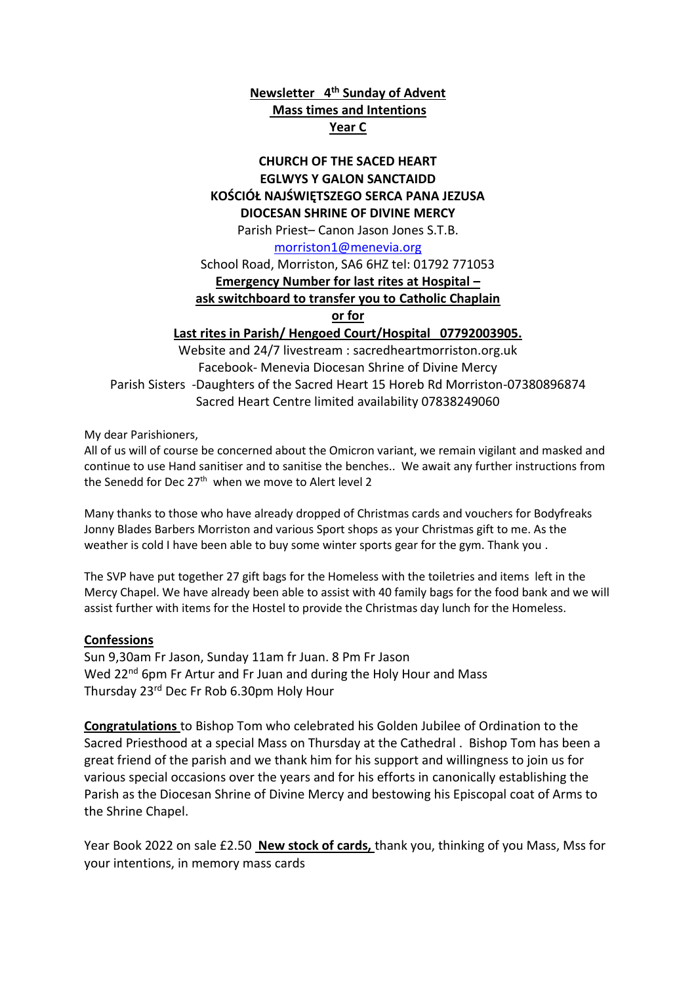# **Newsletter 4 th Sunday of Advent Mass times and Intentions Year C**

## **CHURCH OF THE SACED HEART EGLWYS Y GALON SANCTAIDD KOŚCIÓŁ NAJŚWIĘTSZEGO SERCA PANA JEZUSA DIOCESAN SHRINE OF DIVINE MERCY**

Parish Priest– Canon Jason Jones S.T.B.

#### [morriston1@menevia.org](mailto:morriston1@menevia.org)

School Road, Morriston, SA6 6HZ tel: 01792 771053 **Emergency Number for last rites at Hospital –**

## **ask switchboard to transfer you to Catholic Chaplain**

**or for** 

## **Last rites in Parish/ Hengoed Court/Hospital 07792003905.**

Website and 24/7 livestream : sacredheartmorriston.org.uk Facebook- Menevia Diocesan Shrine of Divine Mercy Parish Sisters -Daughters of the Sacred Heart 15 Horeb Rd Morriston-07380896874 Sacred Heart Centre limited availability 07838249060

My dear Parishioners,

All of us will of course be concerned about the Omicron variant, we remain vigilant and masked and continue to use Hand sanitiser and to sanitise the benches.. We await any further instructions from the Senedd for Dec 27<sup>th</sup> when we move to Alert level 2

Many thanks to those who have already dropped of Christmas cards and vouchers for Bodyfreaks Jonny Blades Barbers Morriston and various Sport shops as your Christmas gift to me. As the weather is cold I have been able to buy some winter sports gear for the gym. Thank you .

The SVP have put together 27 gift bags for the Homeless with the toiletries and items left in the Mercy Chapel. We have already been able to assist with 40 family bags for the food bank and we will assist further with items for the Hostel to provide the Christmas day lunch for the Homeless.

## **Confessions**

Sun 9,30am Fr Jason, Sunday 11am fr Juan. 8 Pm Fr Jason Wed 22<sup>nd</sup> 6pm Fr Artur and Fr Juan and during the Holy Hour and Mass Thursday 23rd Dec Fr Rob 6.30pm Holy Hour

**Congratulations** to Bishop Tom who celebrated his Golden Jubilee of Ordination to the Sacred Priesthood at a special Mass on Thursday at the Cathedral . Bishop Tom has been a great friend of the parish and we thank him for his support and willingness to join us for various special occasions over the years and for his efforts in canonically establishing the Parish as the Diocesan Shrine of Divine Mercy and bestowing his Episcopal coat of Arms to the Shrine Chapel.

Year Book 2022 on sale £2.50 **New stock of cards,** thank you, thinking of you Mass, Mss for your intentions, in memory mass cards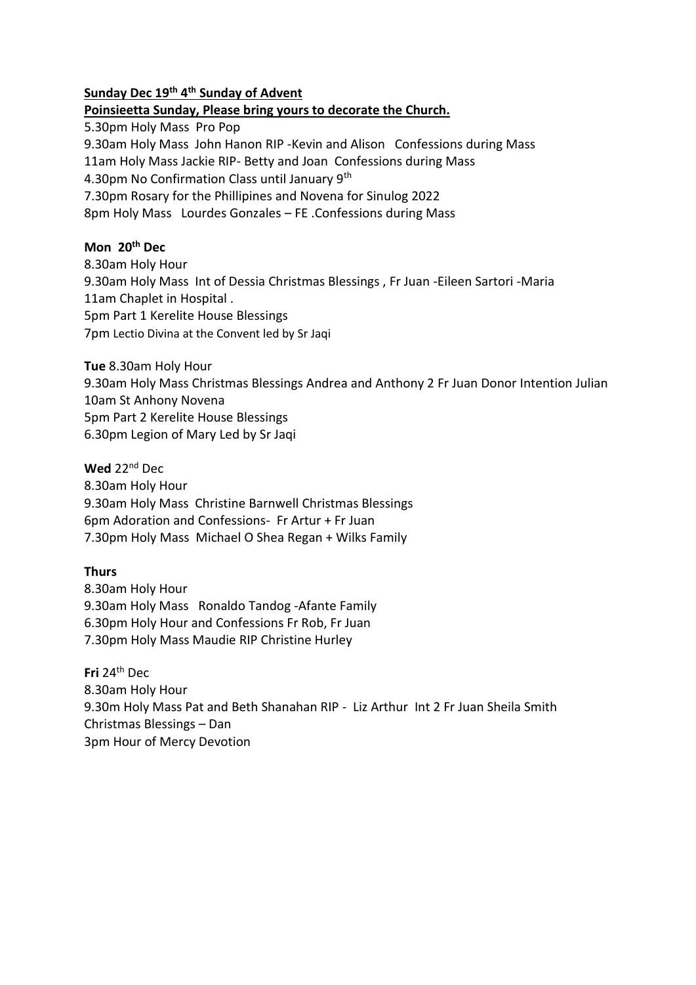### **Sunday Dec 19th 4 th Sunday of Advent**

#### **Poinsieetta Sunday, Please bring yours to decorate the Church.**

5.30pm Holy Mass Pro Pop 9.30am Holy Mass John Hanon RIP -Kevin and Alison Confessions during Mass 11am Holy Mass Jackie RIP- Betty and Joan Confessions during Mass 4.30pm No Confirmation Class until January 9th 7.30pm Rosary for the Phillipines and Novena for Sinulog 2022 8pm Holy Mass Lourdes Gonzales – FE .Confessions during Mass

### **Mon 20th Dec**

8.30am Holy Hour 9.30am Holy Mass Int of Dessia Christmas Blessings , Fr Juan -Eileen Sartori -Maria 11am Chaplet in Hospital . 5pm Part 1 Kerelite House Blessings 7pm Lectio Divina at the Convent led by Sr Jaqi

**Tue** 8.30am Holy Hour

9.30am Holy Mass Christmas Blessings Andrea and Anthony 2 Fr Juan Donor Intention Julian 10am St Anhony Novena 5pm Part 2 Kerelite House Blessings 6.30pm Legion of Mary Led by Sr Jaqi

**Wed** 22nd Dec 8.30am Holy Hour 9.30am Holy Mass Christine Barnwell Christmas Blessings 6pm Adoration and Confessions- Fr Artur + Fr Juan

7.30pm Holy Mass Michael O Shea Regan + Wilks Family

#### **Thurs**

8.30am Holy Hour 9.30am Holy Mass Ronaldo Tandog -Afante Family 6.30pm Holy Hour and Confessions Fr Rob, Fr Juan 7.30pm Holy Mass Maudie RIP Christine Hurley

**Fri** 24th Dec 8.30am Holy Hour 9.30m Holy Mass Pat and Beth Shanahan RIP - Liz Arthur Int 2 Fr Juan Sheila Smith Christmas Blessings – Dan 3pm Hour of Mercy Devotion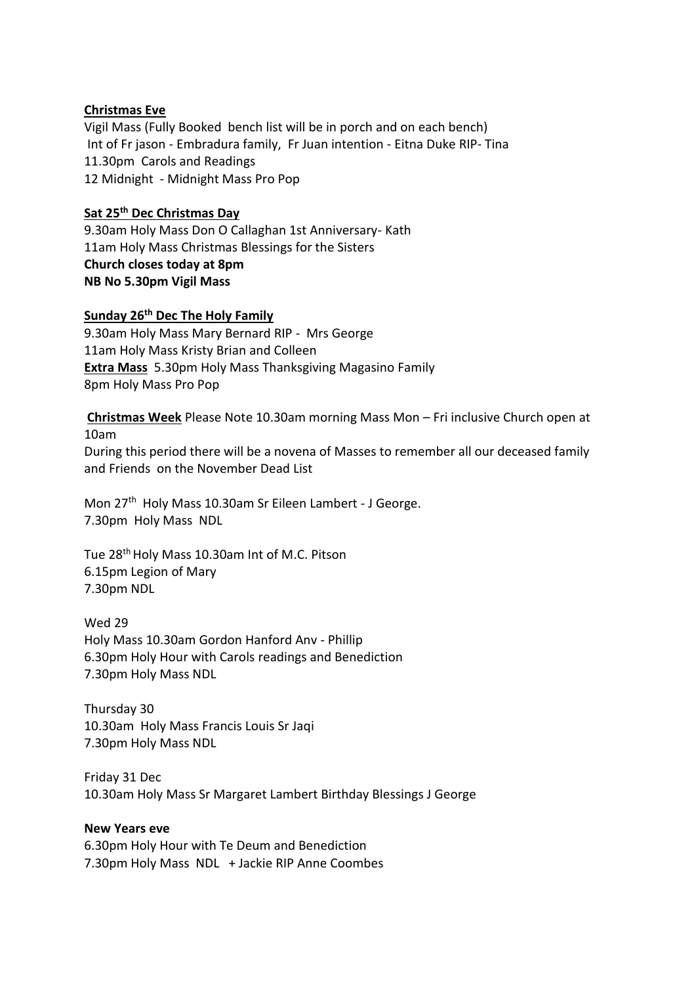### **Christmas Eve**

Vigil Mass (Fully Booked bench list will be in porch and on each bench) Int of Fr jason - Embradura family, Fr Juan intention - Eitna Duke RIP- Tina 11.30pm Carols and Readings 12 Midnight - Midnight Mass Pro Pop

### **Sat 25th Dec Christmas Day**

9.30am Holy Mass Don O Callaghan 1st Anniversary- Kath 11am Holy Mass Christmas Blessings for the Sisters **Church closes today at 8pm NB No 5.30pm Vigil Mass** 

#### **Sunday 26th Dec The Holy Family**

9.30am Holy Mass Mary Bernard RIP - Mrs George 11am Holy Mass Kristy Brian and Colleen **Extra Mass** 5.30pm Holy Mass Thanksgiving Magasino Family 8pm Holy Mass Pro Pop

**Christmas Week** Please Note 10.30am morning Mass Mon – Fri inclusive Church open at 10am

During this period there will be a novena of Masses to remember all our deceased family and Friends on the November Dead List

Mon 27<sup>th</sup> Holy Mass 10.30am Sr Eileen Lambert - J George. 7.30pm Holy Mass NDL

Tue 28<sup>th</sup> Holy Mass 10.30am Int of M.C. Pitson 6.15pm Legion of Mary 7.30pm NDL

Wed 29 Holy Mass 10.30am Gordon Hanford Anv - Phillip 6.30pm Holy Hour with Carols readings and Benediction 7.30pm Holy Mass NDL

Thursday 30 10.30am Holy Mass Francis Louis Sr Jaqi 7.30pm Holy Mass NDL

Friday 31 Dec 10.30am Holy Mass Sr Margaret Lambert Birthday Blessings J George

### **New Years eve**

6.30pm Holy Hour with Te Deum and Benediction 7.30pm Holy Mass NDL + Jackie RIP Anne Coombes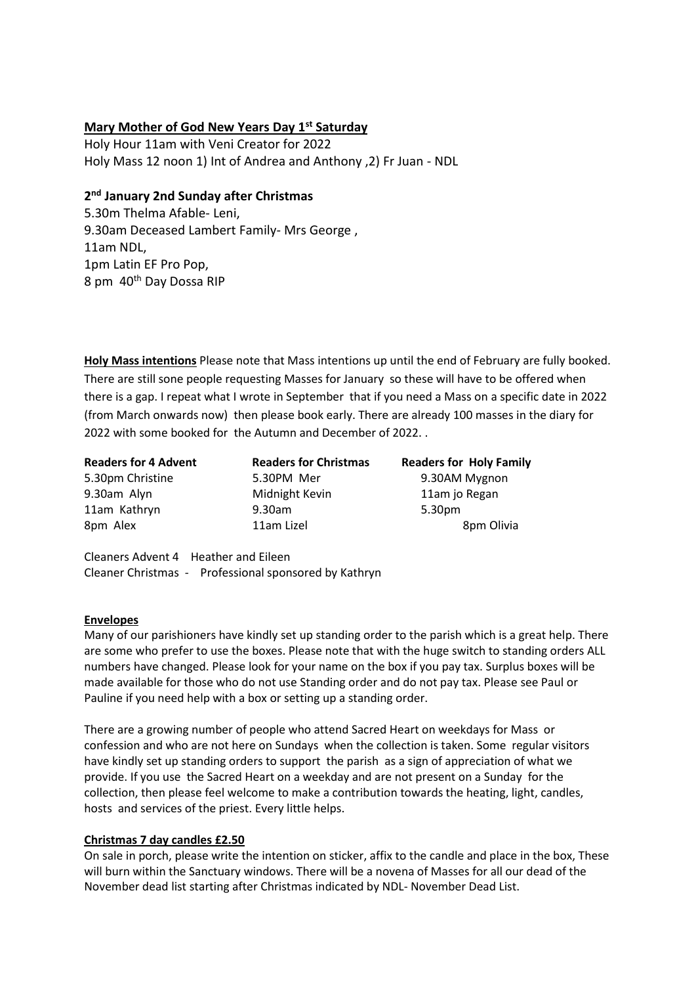### **Mary Mother of God New Years Day 1st Saturday**

Holy Hour 11am with Veni Creator for 2022 Holy Mass 12 noon 1) Int of Andrea and Anthony ,2) Fr Juan - NDL

## **2 nd January 2nd Sunday after Christmas**

5.30m Thelma Afable- Leni, 9.30am Deceased Lambert Family- Mrs George , 11am NDL, 1pm Latin EF Pro Pop, 8 pm 40th Day Dossa RIP

**Holy Mass intentions** Please note that Mass intentions up until the end of February are fully booked. There are still sone people requesting Masses for January so these will have to be offered when there is a gap. I repeat what I wrote in September that if you need a Mass on a specific date in 2022 (from March onwards now) then please book early. There are already 100 masses in the diary for 2022 with some booked for the Autumn and December of 2022. .

**Readers for 4 Advent Readers for Christmas Readers for Holy Family**  5.30pm Christine 5.30PM Mer 9.30AM Mygnon 9.30am Alyn Midnight Kevin 11am jo Regan 11am Kathryn 9.30am 5.30pm 8pm Alex **11am Lizel** 8pm Olivia

Cleaners Advent 4 Heather and Eileen Cleaner Christmas - Professional sponsored by Kathryn

#### **Envelopes**

Many of our parishioners have kindly set up standing order to the parish which is a great help. There are some who prefer to use the boxes. Please note that with the huge switch to standing orders ALL numbers have changed. Please look for your name on the box if you pay tax. Surplus boxes will be made available for those who do not use Standing order and do not pay tax. Please see Paul or Pauline if you need help with a box or setting up a standing order.

There are a growing number of people who attend Sacred Heart on weekdays for Mass or confession and who are not here on Sundays when the collection is taken. Some regular visitors have kindly set up standing orders to support the parish as a sign of appreciation of what we provide. If you use the Sacred Heart on a weekday and are not present on a Sunday for the collection, then please feel welcome to make a contribution towards the heating, light, candles, hosts and services of the priest. Every little helps.

#### **Christmas 7 day candles £2.50**

On sale in porch, please write the intention on sticker, affix to the candle and place in the box, These will burn within the Sanctuary windows. There will be a novena of Masses for all our dead of the November dead list starting after Christmas indicated by NDL- November Dead List.